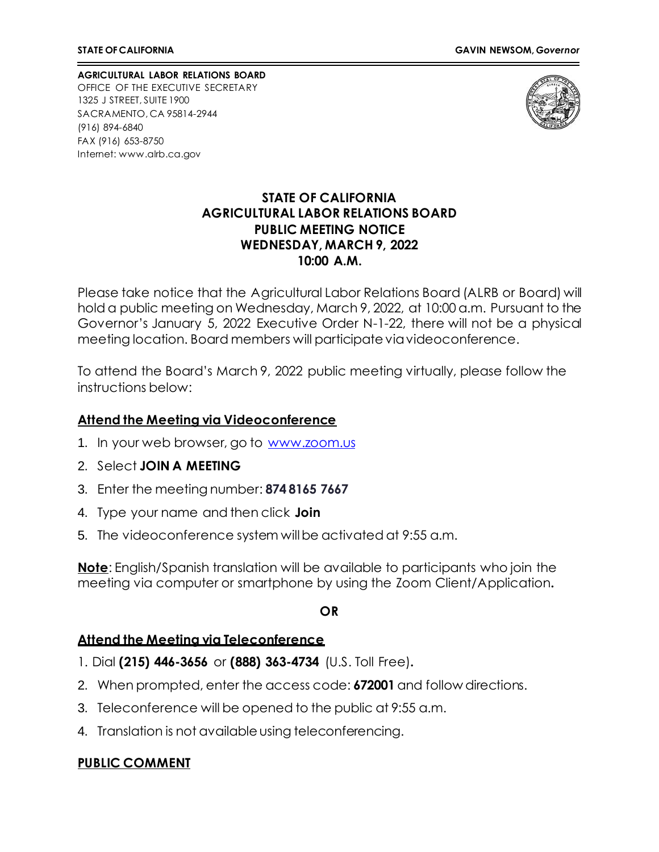**AGRICULTURAL LABOR RELATIONS BOARD** OFFICE OF THE EXECUTIVE SECRETARY 1325 J STREET, SUITE 1900 SACRAMENTO, CA 95814-2944 (916) 894-6840 FAX (916) 653-8750 Internet[: www.alrb.ca.gov](http://www.alrb.ca.gov/)



### **STATE OF CALIFORNIA AGRICULTURAL LABOR RELATIONS BOARD PUBLIC MEETING NOTICE WEDNESDAY, MARCH 9, 2022 10:00 A.M.**

Please take notice that the Agricultural Labor Relations Board (ALRB or Board) will hold a public meeting on Wednesday, March 9, 2022, at 10:00 a.m. Pursuant to the Governor's January 5, 2022 Executive Order N-1-22, there will not be a physical meeting location. Board members will participate viavideoconference.

To attend the Board's March 9, 2022 public meeting virtually, please follow the instructions below:

#### **Attend the Meeting via Videoconference**

- 1. In your web browser, go to [www.zoom.us](http://www.zoom.us/)
- 2. Select **JOIN A MEETING**
- 3. Enter the meeting number: **874 8165 7667**
- 4. Type your name and then click **Join**
- 5. The videoconference system willbe activated at 9:55 a.m.

**Note**: English/Spanish translation will be available to participants who join the meeting via computer or smartphone by using the Zoom Client/Application**.**

#### **OR**

#### **Attend the Meeting via Teleconference**

- 1. Dial **(215) 446-3656** or **(888) 363-4734** (U.S. Toll Free)**.**
- 2. When prompted, enter the access code: **672001** and follow directions.
- 3. Teleconference will be opened to the public at 9:55 a.m.
- 4. Translation is not available using teleconferencing.

## **PUBLIC COMMENT**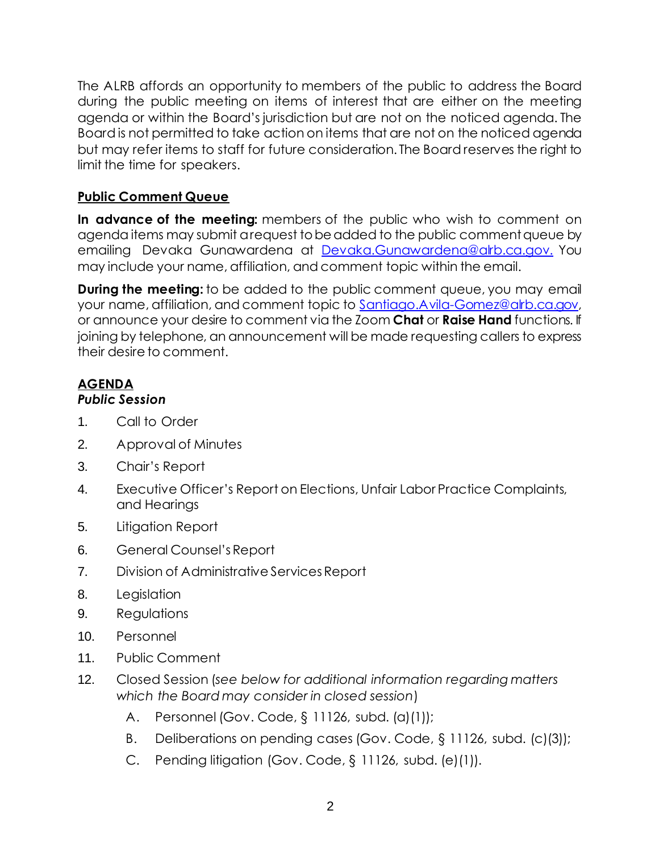The ALRB affords an opportunity to members of the public to address the Board during the public meeting on items of interest that are either on the meeting agenda or within the Board's jurisdiction but are not on the noticed agenda. The Board is not permitted to take action on items that are not on the noticed agenda but may refer items to staff for future consideration. The Board reserves the right to limit the time for speakers.

# **Public Comment Queue**

**In advance of the meeting:** members of the public who wish to comment on agenda items may submit a request to be added to the public comment queue by emailing Devaka Gunawardena at [Devaka.Gunawardena@alrb.ca.gov.](mailto:Devaka.Gunawardena@alrb.ca.gov.) You may include your name, affiliation, and comment topic within the email.

**During the meeting:** to be added to the public comment queue, you may email your name, affiliation, and comment topic to [Santiago.Avila-Gomez@alrb.ca.gov,](mailto:Santiago.Avila-Gomez@alrb.ca.gov) or announce your desire to comment via the Zoom **Chat** or **Raise Hand** functions. If joining by telephone, an announcement will be made requesting callers to express their desire to comment.

# **AGENDA**

## *Public Session*

- 1. Call to Order
- 2. Approval of Minutes
- 3. Chair's Report
- 4. Executive Officer's Report on Elections, Unfair Labor Practice Complaints, and Hearings
- 5. Litigation Report
- 6. General Counsel's Report
- 7. Division of Administrative Services Report
- 8. Legislation
- 9. Regulations
- 10. Personnel
- 11. Public Comment
- 12. Closed Session (*see below for additional information regarding matters which the Board may consider in closed session*)
	- A. Personnel (Gov. Code, § 11126, subd. (a)(1));
	- B. Deliberations on pending cases (Gov. Code, § 11126, subd. (c)(3));
	- C. Pending litigation (Gov. Code, § 11126, subd. (e)(1)).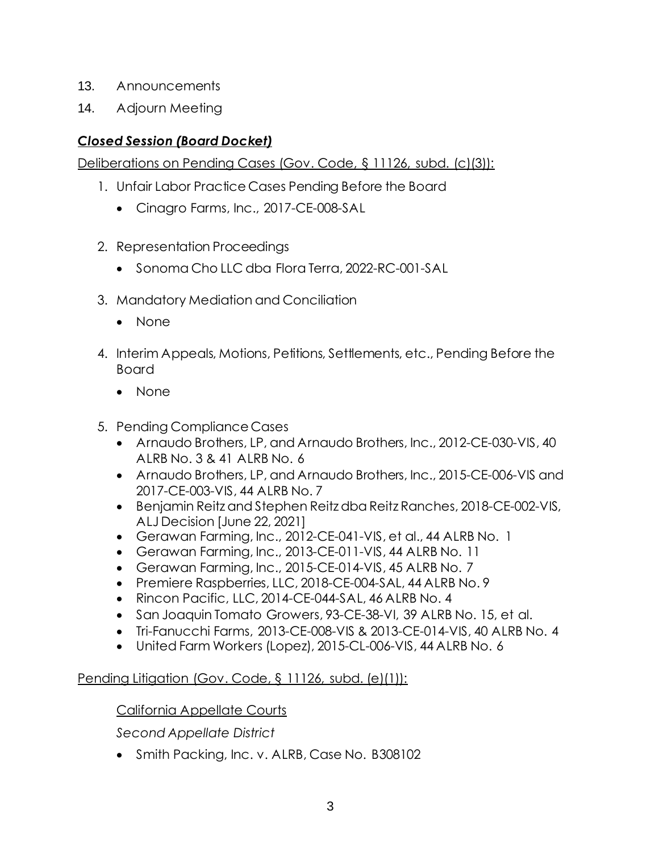- 13. Announcements
- 14. Adjourn Meeting

# *Closed Session (Board Docket)*

Deliberations on Pending Cases (Gov. Code, § 11126, subd. (c)(3)):

- 1. Unfair Labor Practice Cases Pending Before the Board
	- Cinagro Farms, Inc., 2017-CE-008-SAL
- 2. Representation Proceedings
	- Sonoma Cho LLC dba Flora Terra, 2022-RC-001-SAL
- 3. Mandatory Mediation and Conciliation
	- None
- 4. Interim Appeals, Motions, Petitions, Settlements, etc., Pending Before the Board
	- None
- 5. Pending Compliance Cases
	- Arnaudo Brothers, LP, and Arnaudo Brothers, Inc., 2012-CE-030-VIS, 40 ALRB No. 3 & 41 ALRB No. 6
	- Arnaudo Brothers, LP, and Arnaudo Brothers, Inc., 2015-CE-006-VIS and 2017-CE-003-VIS, 44 ALRB No. 7
	- Benjamin Reitz and Stephen Reitz dba Reitz Ranches, 2018-CE-002-VIS, ALJ Decision [June 22, 2021]
	- Gerawan Farming, Inc., 2012-CE-041-VIS, et al., 44 ALRB No. 1
	- Gerawan Farming, Inc., 2013-CE-011-VIS, 44 ALRB No. 11
	- Gerawan Farming, Inc., 2015-CE-014-VIS, 45 ALRB No. 7
	- Premiere Raspberries, LLC, 2018-CE-004-SAL, 44 ALRB No. 9
	- Rincon Pacific, LLC, 2014-CE-044-SAL, 46 ALRB No. 4
	- San Joaquin Tomato Growers, 93-CE-38-VI, 39 ALRB No. 15, et al.
	- Tri-Fanucchi Farms, 2013-CE-008-VIS & 2013-CE-014-VIS, 40 ALRB No. 4
	- United Farm Workers (Lopez), 2015-CL-006-VIS, 44 ALRB No. 6

# Pending Litigation (Gov. Code, § 11126, subd. (e)(1)):

## California Appellate Courts

*Second Appellate District*

• Smith Packing, Inc. v. ALRB, Case No. B308102